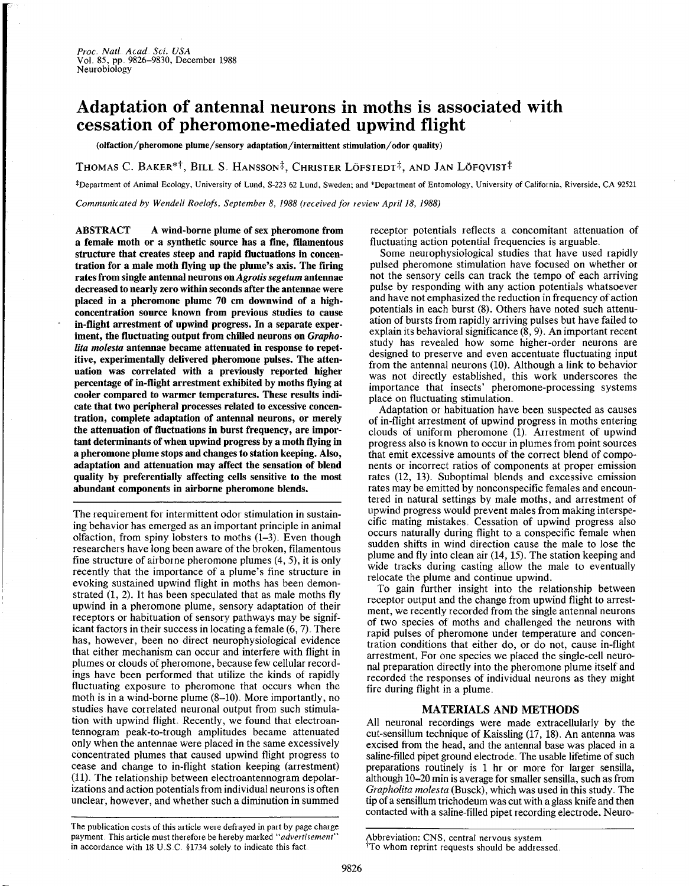# **Adaptation of antennal neurons in moths is associated with cessation of pheromone-mediated upwind flight**

(olfaction/pheromone plume/sensory adaptation/intermittent stimulation/odor quality)

Thomas C. Baker<sup>\*†</sup>, Bill S. Hansson<sup>‡</sup>, Christer Löfstedt<sup>‡</sup>, and Jan Löfovist<sup>‡</sup>

^Department of Animal Ecology, University of Lund, S-223 62 Lund, Sweden; and \*Department of Entomology, University of California, Riverside, CA 92521

*Communicated by Wendell Roelojs, September 8, 1988 (received for review April 18, 1988)* 

ABSTRACT A wind-borne plume of sex pheromone from a female moth or a synthetic source has a fine, filamentous structure that creates steep and rapid fluctuations in concentration for a male moth flying up the plume's axis. The firing rates from single antennal neurons on *Agrotis segetum* antennae decreased to nearly zero within seconds after the antennae were placed in a pheromone plume 70 cm downwind of a highconcentration source known from previous studies to cause in-flight arrestment of upwind progress. In a separate experiment, the fluctuating output from chilled neurons on *Grapho-Uta molesta* antennae became attenuated in response to repetitive, experimentally delivered pheromone pulses. The attenuation was correlated with a previously reported higher percentage of in-flight arrestment exhibited by moths flying at cooler compared to warmer temperatures. These results indicate that two peripheral processes related to excessive concentration, complete adaptation of antennal neurons, or merely the attenuation of fluctuations in burst frequency, are important determinants of when upwind progress by a moth flying in a pheromone plume stops and changes to station keeping. Also, adaptation and attenuation may affect the sensation of blend quality by preferentially affecting cells sensitive to the most abundant components in airborne pheromone blends.

The requirement for intermittent odor stimulation in sustaining behavior has emerged as an important principle in animal olfaction, from spiny lobsters to moths  $(1-3)$ . Even though researchers have long been aware of the broken, filamentous fine structure of airborne pheromone plumes (4, 5), it is only recently that the importance of a plume's fine structure in evoking sustained upwind flight in moths has been demonstrated (1, 2). It has been speculated that as male moths fly upwind in a pheromone plume, sensory adaptation of their receptors or habituation of sensory pathways may be significant factors in their success in locating a female  $(6, 7)$ . There has, however, been no direct neurophysiological evidence that either mechanism can occur and interfere with flight in plumes or clouds of pheromone, because few cellular recordings have been performed that utilize the kinds of rapidly fluctuating exposure to pheromone that occurs when the moth is in a wind-borne plume  $(8-10)$ . More importantly, no studies have correlated neuronal output from such stimulation with upwind flight. Recently, we found that electroantennogram peak-to-trough amplitudes became attenuated only when the antennae were placed in the same excessively concentrated plumes that caused upwind flight progress to cease and change to in-flight station keeping (arrestment) (11) The relationship between electroantennogram depolarizations and action potentials from individual neurons is often unclear, however, and whether such a diminution in summed

receptor potentials reflects a concomitant attenuation of fluctuating action potential frequencies is arguable

Some neurophysiological studies that have used rapidly pulsed pheromone stimulation have focused on whether or not the sensory cells can track the tempo of each arriving pulse by responding with any action potentials whatsoever and have not emphasized the reduction in frequency of action potentials in each burst (8). Others have noted such attenuation of bursts from rapidly arriving pulses but have failed to explain its behavioral significance  $(8, 9)$ . An important recent study has revealed how some higher-order neurons are designed to preserve and even accentuate fluctuating input from the antennal neurons (10). Although a link to behavior was not directly established, this work underscores the importance that insects' pheromone-processing systems place on fluctuating stimulation

Adaptation or habituation have been suspected as causes of in-flight arrestment of upwind progress in moths entering clouds of uniform pheromone (1) Arrestment of upwind progress also is known to occur in plumes from point sources that emit excessive amounts of the correct blend of components or incorrect ratios of components at proper emission rates (12, 13). Suboptimal blends and excessive emission rates may be emitted by nonconspecific females and encountered in natural settings by male moths, and arrestment of upwind progress would prevent males from making interspecific mating mistakes Cessation of upwind progress also occurs naturally during flight to a conspecific female when sudden shifts in wind direction cause the male to lose the plume and fly into clean air (14, 15). The station keeping and wide tracks during casting allow the male to eventually relocate the plume and continue upwind

To gain further insight into the relationship between receptor output and the change from upwind flight to arrestment, we recently recorded from the single antennal neurons of two species of moths and challenged the neurons with rapid pulses of pheromone under temperature and concentration conditions that either do, or do not, cause in-flight arrestment, For one species we placed the single-cell neuronal preparation directly into the pheromone plume itself and recorded the responses of individual neurons as they might fire during flight in a plume

## **MATERIALS AND METHODS**

All neuronal recordings were made extracellularly by the cut-sensillum technique of Kaissling (17, 18). An antenna was excised from the head, and the antennal base was placed in a saline-filled pipet ground electrode. The usable lifetime of such preparations routinely is 1 hr or more for larger sensilla, although 10-20 min is average for smaller sensilla, such as from *Grapholita molesta* (Busck), which was used in this study. The tip of a sensillum trichodeum was cut with aglass knife and then contacted with a saline-filled pipet recording electrode. Neuro-

The publication costs of this article were defrayed in part by page charge payment This article must therefore be hereby marked *"advertisement"*  in accordance with 18 U.S.C.  $$1734$  solely to indicate this fact.

Abbreviation: CNS, central nervous system <sup>T</sup>To whom reprint requests should be addressed.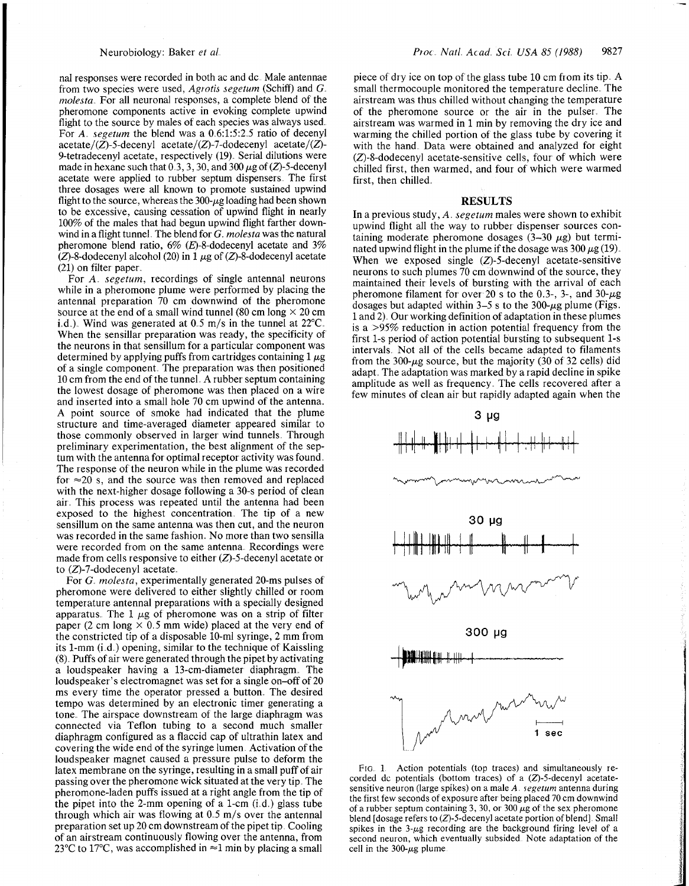nal responses were recorded in both ac and dc. Male antennae from two species were used, *Agrotis segetum* (Schiff) and G *molesta* For all neuronal responses, a complete blend of the pheromone components active in evoking complete upwind flight to the source by males of each species was always used. For *A* segetum the blend was a 0.6:1:5:2.5 ratio of decenyl acetate/ $(Z)$ -5-decenyl acetate/ $(Z)$ -7-dodecenyl acetate/ $(Z)$ -9-tetradecenyl acetate, respectively (19). Serial dilutions were made in hexane such that  $0.3, 3, 30$ , and  $300 \mu g$  of (Z)-5-decenyl acetate were applied to rubber septum dispensers The first three dosages were all known to promote sustained upwind flight to the source, whereas the  $300$ - $\mu$ g loading had been shown to be excessive, causing cessation of upwind flight in nearly 100% of the males that had begun upwind flight farther downwind in a flight tunnel. The blend for G. molesta was the natural pheromone blend ratio,  $6\%$  (E)-8-dodecenyl acetate and 3% (Z)-8-dodecenyl alcohol (20) in 1  $\mu$ g of (Z)-8-dodecenyl acetate (21) on filter paper

For *A* segetum, recordings of single antennal neurons while in a pheromone plume were performed by placing the antennal preparation 70 cm downwind of the pheromone source at the end of a small wind tunnel (80 cm long  $\times$  20 cm i.d.). Wind was generated at  $0.5$  m/s in the tunnel at  $22^{\circ}$ C. When the sensillar preparation was ready, the specificity of the neurons in that sensillum for a particular component was determined by applying puffs from cartridges containing  $1 \mu$ g of a single component The preparation was then positioned 10 cm from the end of the tunnel A rubber septum containing the lowest dosage of pheromone was then placed on a wire and inserted into a small hole 70 cm upwind of the antenna. A point source of smoke had indicated that the plume structure and time-averaged diameter appeared similar to those commonly observed in larger wind tunnels Through preliminary experimentation, the best alignment of the septum with the antenna for optimal receptor activity was found The response of the neuron while in the plume was recorded for  $\approx 20$  s, and the source was then removed and replaced with the next-higher dosage following a 30-s period of clean air. This process was repeated until the antenna had been exposed to the highest concentration The tip of a new sensillum on the same antenna was then cut, and the neuron was recorded in the same fashion. No more than two sensilla were recorded from on the same antenna. Recordings were made from cells responsive to either  $(Z)$ -5-decenyl acetate or to  $(Z)$ -7-dodecenyl acetate.

For G *molesta,* experimentally generated 20-ms pulses of pheromone were delivered to either slightly chilled or room temperature antennal preparations with a specially designed apparatus. The 1  $\mu$ g of pheromone was on a strip of filter paper (2 cm long  $\times$  0.5 mm wide) placed at the very end of the constricted tip of a disposable 10-ml syringe, 2 mm from its 1-mm (i.d.) opening, similar to the technique of Kaissling (8) Puffs of air were generated through the pipet by activating a loudspeaker having a 13-cm-diameter diaphragm. The loudspeaker's electromagnet was set for a single on-off of 20 ms every time the operator pressed a button. The desired tempo was determined by an electronic timer generating a tone. The airspace downstream of the large diaphragm was connected via Teflon tubing to a second much smaller diaphragm configured as a flaccid cap of ultrathin latex and covering the wide end of the syringe lumen Activation of the loudspeaker magnet caused a pressure pulse to deform the latex membrane on the syringe, resulting in a small puff of air passing over the pheromone wick situated at the very tip. The pheromone-laden puffs issued at a right angle from the tip of the pipet into the 2-mm opening of a 1-cm  $(i.d.)$  glass tube through which air was flowing at  $0.5$  m/s over the antennal preparation set up 20 cm downstream of the pipet tip. Cooling of an airstream continuously flowing over the antenna, from 23<sup>o</sup>C to 17<sup>o</sup>C, was accomplished in  $\approx$ 1 min by placing a small

piece of dry ice on top of the glass tube 10 cm from its tip. A small thermocouple monitored the temperature decline. The airstream was thus chilled without changing the temperature of the pheromone source or the air in the pulser The airstream was warmed in 1 min by removing the dry ice and warming the chilled portion of the glass tube by covering it with the hand. Data were obtained and analyzed for eight (2)-8-dodecenyl acetate-sensitive cells, four of which were chilled first, then warmed, and four of which were warmed first, then chilled

### RESULTS

In a previous study, *A segetum* males were shown to exhibit upwind flight all the way to rubber dispenser sources containing moderate pheromone dosages  $(3-30 \mu g)$  but terminated upwind flight in the plume if the dosage was  $300 \mu g (19)$ . When we exposed single  $(Z)$ -5-decenyl acetate-sensitive neurons to such plumes 70 cm downwind of the source, they maintained their levels of bursting with the arrival of each pheromone filament for over 20 s to the 0.3-, 3-, and  $30-\mu g$ dosages but adapted within  $3-5$  s to the  $300$ - $\mu$ g plume (Figs. 1 and 2). Our working definition of adaptation in these plumes is a >95% reduction in action potential frequency from the first 1-s period of action potential bursting to subsequent 1-s intervals. Not all of the cells became adapted to filaments from the 300- $\mu$ g source, but the majority (30 of 32 cells) did adapt. The adaptation was marked by a rapid decline in spike amplitude as well as frequency. The cells recovered after a few minutes of clean air but rapidly adapted again when the



FIG. 1. Action potentials (top traces) and simultaneously recorded dc potentials (bottom traces) of a  $(Z)$ -5-decenyl acetatesensitive neuron (large spikes) on a male *A segetum* antenna during the first few seconds of exposure after being placed 70 cm downwind of a rubber septum containing 3, 30, or 300  $\mu$ g of the sex pheromone blend [dosage refers to  $(Z)$ -5-decenyl acetate portion of blend]. Small spikes in the  $3-\mu g$  recording are the background firing level of a second neuron, which eventually subsided. Note adaptation of the cell in the  $300 - \mu$ g plume.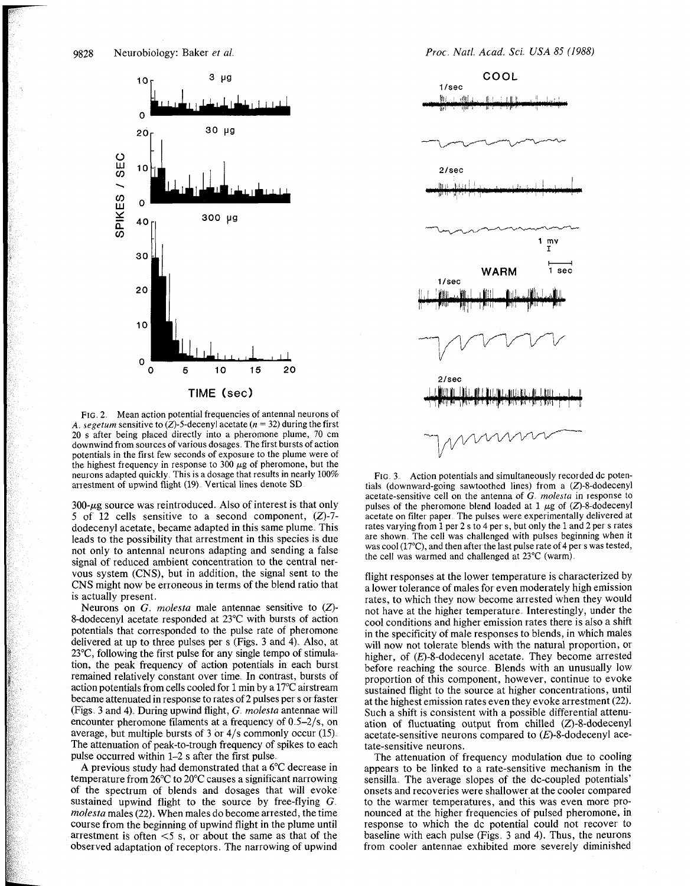

FIG 2 Mean action potential frequencies of antennal neurons of A segetum sensitive to  $(Z)$ -5-decenyl acetate  $(n = 32)$  during the first 20 s after being placed directly into a pheromone plume, 70 cm downwind from sources of various dosages The first bursts of action potentials in the first few seconds of exposure to the plume were of the highest frequency in response to  $300 \mu$ g of pheromone, but the neurons adapted quickly. This is a dosage that results in nearly 100% arrestment of upwind flight (19). Vertical lines denote SD

 $300 - \mu$ g source was reintroduced. Also of interest is that only 5 of 12 cells sensitive to a second component,  $(Z)$ -7dodecenyl acetate, became adapted in this same plume. This leads to the possibility that arrestment in this species is due not only to antennal neurons adapting and sending a false signal of reduced ambient concentration to the central nervous system (CNS), but in addition, the signal sent to the CNS might now be erroneous in terms of the blend ratio that is actually present

Neurons on G *molesta* male antennae sensitive to (2)- 8-dodecenyl acetate responded at 23°C with bursts of action potentials that corresponded to the pulse rate of pheromone delivered at up to three pulses per s (Figs. 3 and 4) Also, at  $23^{\circ}$ C, following the first pulse for any single tempo of stimulation, the peak frequency of action potentials in each burst remained relatively constant over time In contrast, bursts of action potentials from cells cooled for  $1$  min by a  $17^{\circ}$ C airstream became attenuated in response to rates of 2 pulses per s or faster (Figs 3 and 4) During upwind flight, G *molesta* antennae will encounter pheromone filaments at a frequency of  $0.5-2/s$ , on average, but multiple bursts of  $3$  or  $4/s$  commonly occur (15). The attenuation of peak-to-trough frequency of spikes to each pulse occurred within 1-2 s after the first pulse

A previous study had demonstrated that a 6°C decrease in temperature from  $26^{\circ}$ C to  $20^{\circ}$ C causes a significant narrowing of the spectrum of blends and dosages that will evoke sustained upwind flight to the source by free-flying  $G$ . *molesta* males (22). When males do become arrested, the time course from the beginning of upwind flight in the plume until arrestment is often  $\leq$  5 s, or about the same as that of the observed adaptation of receptors. The narrowing of upwind



FIG. 3. Action potentials and simultaneously recorded dc potentials (downward-going sawtoothed lines) from a  $(Z)$ -8-dodecenyl acetate-sensitive cell on the antenna of G **molesta** in response to pulses of the pheromone blend loaded at 1  $\mu$ g of (Z)-8-dodecenyl acetate on filter paper. The pulses were experimentally delivered at rates varying from 1 per 2 s to 4 per s, but only the 1 and 2 per s rates are shown. The cell was challenged with pulses beginning when it was cool (17 $^{\circ}$ C), and then after the last pulse rate of 4 per s was tested, the cell was warmed and challenged at  $23^{\circ}$ C (warm).

flight responses at the lower temperature is characterized by a lower tolerance of males for even moderately high emission rates, to which they now become arrested when they would not have at the higher temperature. Interestingly, under the cool conditions and higher emission rates there is also a shift in the specificity of male responses to blends, in which males will now not tolerate blends with the natural proportion, or higher, of  $(E)$ -8-dodecenyl acetate. They become arrested before reaching the source. Blends with an unusually low proportion of this component, however, continue to evoke sustained flight to the source at higher concentrations, until at the highest emission rates even they evoke arrestment (22). Such a shift is consistent with a possible differential attenuation of fluctuating output from chilled  $(Z)$ -8-dodecenyl acetate-sensitive neurons compared to  $(E)$ -8-dodecenyl acetate-sensitive neurons.

The attenuation of frequency modulation due to cooling appears to be linked to a rate-sensitive mechanism in the sensilla. The average slopes of the dc-coupled potentials' onsets and recoveries were shallower at the cooler compared to the warmer temperatures, and this was even more pronounced at the higher frequencies of pulsed pheromone, in response to which the dc potential could not recover to baseline with each pulse (Figs. 3 and 4). Thus, the neurons from cooler antennae exhibited more severely diminished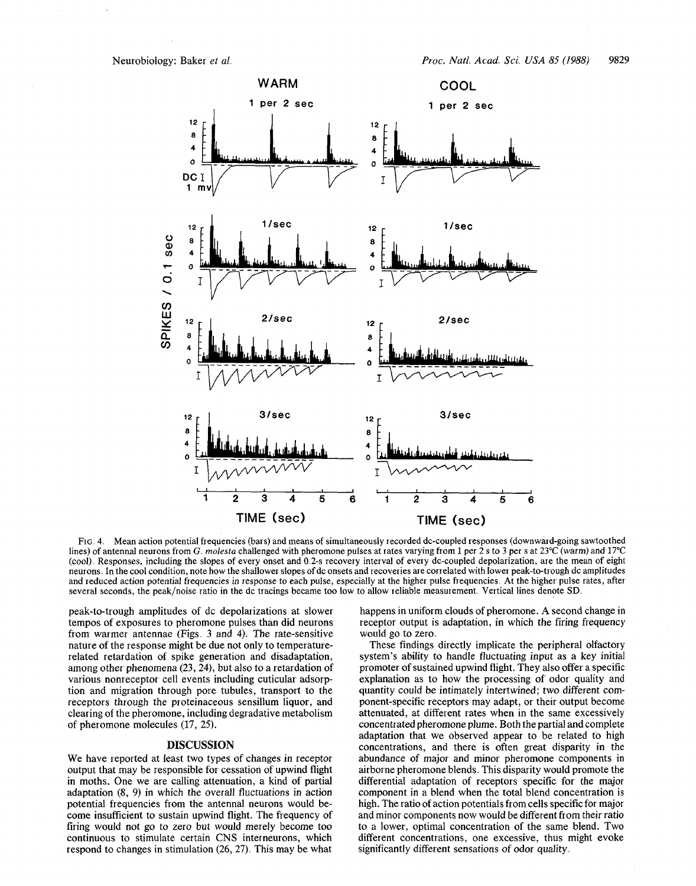

**FIG 4** Mean action potential frequencies (bars) and means of simultaneously recorded dc-coupled responses (downward-going sawtoothed lines) of antennal neurons from G *molesta* challenged with pheromone pulses at rates varying from 1 per 2 s to 3 per s at *23OC* (warm) and 17'C (cool) Responses, including the slopes of every onset and 0 2-s recovery interval of every dc-coupled depolarization, are the mean of eight neurons In the cool condition, note how the shallower slopes of dc onsets and recoveries are correlated with lower peak-to-trough dc amplitudes and reduced action potential frequencies in response to each pulse, especially at the higher pulse frequencies At the higher pulse rates, after several seconds, the peak/noise ratio in the dc tracings became too low to allow reliable measurement. Vertical lines denote SD.

peak-to-trough amplitudes of dc depolarizations at slower tempos of exposures to pheromone pulses than did neurons from warmer antennae (Figs **3** and 4). The rate-sensitive nature of the response might be due not only to temperaturerelated retardation of spike generation and disadaptation, among other phenomena **(23,24),** but also to a retardation of various nonreceptor cell events including cuticular adsorption and migration through pore tubules, transport to the receptors through the proteinaceous sensillum liquor, and clearing of the pheromone, including degradative metabolism of pheromone molecules (17, *25).* 

## **DISCUSSION**

We have reported at least two types of changes in receptor output that may be responsible for cessation of upwind flight in moths. One we are calling attenuation, a kind of partial adaptation **(8, 9)** in which the overall fluctuations in action potential frequencies from the antennal neurons would become insufficient to sustain upwind flight. The frequency of firing would not go to zero but would merely become too continuous to stimulate certain CNS interneurons, which respond to changes in stimulation **(26,27)** This may be what

happens in uniform clouds of pheromone. **A** second change in receptor output is adaptation, in which the firing frequency would go to zero

These findings directly implicate the peripheral olfactory system's ability to handle fluctuating input as a key initial promoter of sustained upwind flight. They also offer a specific explanation as to how the processing of odor quality and quantity could be intimately intertwined; two different component-specific receptors may adapt, or their output become attenuated, at different rates when in the same excessively concentrated pheromone plume. Both the partial and complete adaptation that we observed appear to be related to high concentrations, and there is often great disparity in the abundance of major and minor pheromone components in airborne pheromone blends. This disparity would promote the differential adaptation of receptors specific for the major component in a blend when the total blend concentration is high. The ratio of action potentials from cells specific for major and minor components now would be different from their ratio to a lower, optimal concentration of the same blend. Two different concentrations, one excessive, thus might evoke significantly different sensations of odor quality.